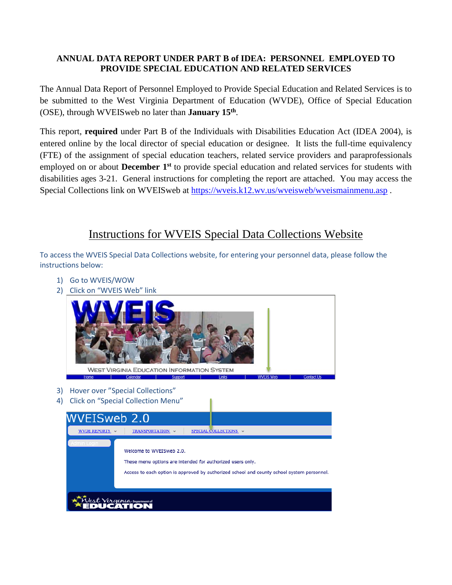# **ANNUAL DATA REPORT UNDER PART B of IDEA: PERSONNEL EMPLOYED TO PROVIDE SPECIAL EDUCATION AND RELATED SERVICES**

The Annual Data Report of Personnel Employed to Provide Special Education and Related Services is to be submitted to the West Virginia Department of Education (WVDE), Office of Special Education (OSE), through WVEISweb no later than **January 15th**.

This report, **required** under Part B of the Individuals with Disabilities Education Act (IDEA 2004), is entered online by the local director of special education or designee. It lists the full-time equivalency (FTE) of the assignment of special education teachers, related service providers and paraprofessionals employed on or about **December 1st** to provide special education and related services for students with disabilities ages 3-21. General instructions for completing the report are attached. You may access the Special Collections link on WVEISweb at<https://wveis.k12.wv.us/wveisweb/wveismainmenu.asp>.

# Instructions for WVEIS Special Data Collections Website

To access the WVEIS Special Data Collections website, for entering your personnel data, please follow the instructions below:

- 1) Go to WVEIS/WOW
- 2) Click on "WVEIS Web" link

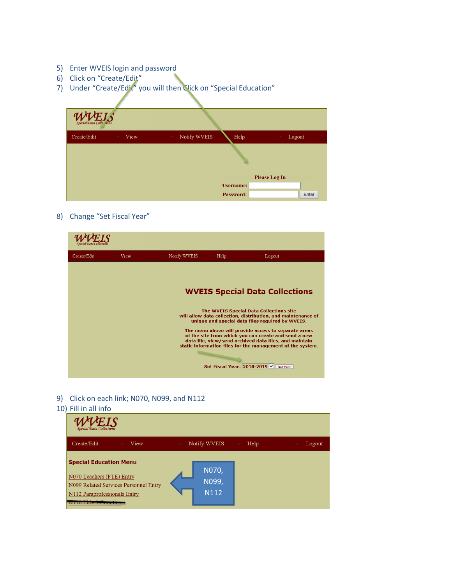- 5) Enter WVEIS login and password
- 6) Click on "Create/Edit"
- 7) Under "Create/Edit" you will then Click on "Special Education"

| <b>WVEIS</b> |      |                                    |                  |                      |
|--------------|------|------------------------------------|------------------|----------------------|
| Create/Edit  | View | Notify WVEIS<br>$\bar{\mathbf{v}}$ | Help             | Logout<br>$\sim$     |
|              |      |                                    |                  |                      |
|              |      |                                    |                  | <b>Please Log In</b> |
|              |      |                                    | <b>Username:</b> |                      |
|              |      |                                    | Password:        | Enter                |

8) Change "Set Fiscal Year"



9) Click on each link; N070, N099, and N112

#### 10) Fill in all info

| .                                                                                                                                                |                        |                |
|--------------------------------------------------------------------------------------------------------------------------------------------------|------------------------|----------------|
| Special Data Collections                                                                                                                         |                        |                |
| Create/Edit<br>View                                                                                                                              | Notify WVEIS<br>÷<br>٠ | Help<br>Logout |
| <b>Special Education Menu</b><br>N070 Teachers (FTE) Entry<br>N099 Related Services Personnel Entry<br>N112 Paraprofessionals Entry<br>THE JAMES | N070,<br>N099,<br>N112 |                |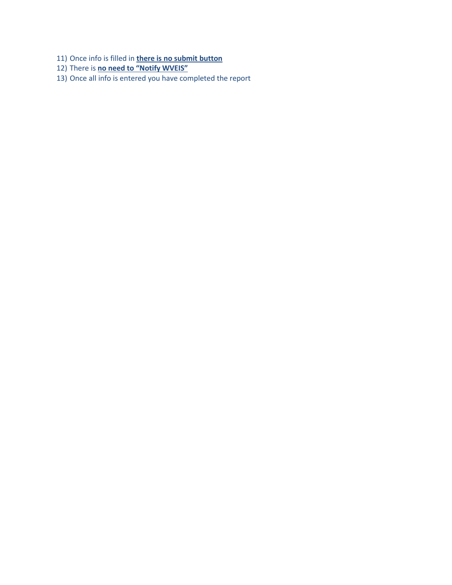- 11) Once info is filled in **there is no submit button**
- 12) There is **no need to "Notify WVEIS"**
- 13) Once all info is entered you have completed the report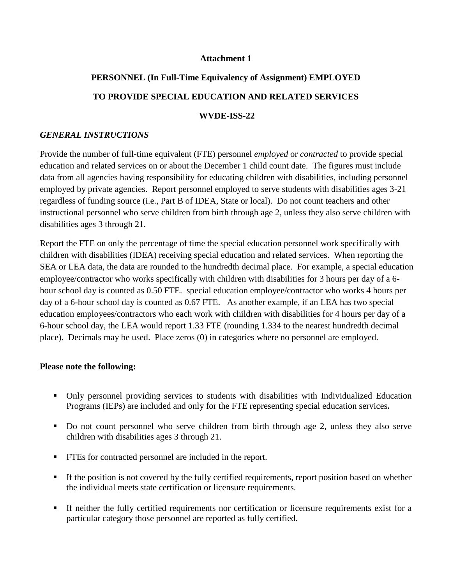#### **Attachment 1**

# **PERSONNEL (In Full-Time Equivalency of Assignment) EMPLOYED TO PROVIDE SPECIAL EDUCATION AND RELATED SERVICES WVDE-ISS-22**

#### *GENERAL INSTRUCTIONS*

Provide the number of full-time equivalent (FTE) personnel *employed* or *contracted* to provide special education and related services on or about the December 1 child count date. The figures must include data from all agencies having responsibility for educating children with disabilities, including personnel employed by private agencies. Report personnel employed to serve students with disabilities ages 3-21 regardless of funding source (i.e., Part B of IDEA, State or local). Do not count teachers and other instructional personnel who serve children from birth through age 2, unless they also serve children with disabilities ages 3 through 21.

Report the FTE on only the percentage of time the special education personnel work specifically with children with disabilities (IDEA) receiving special education and related services. When reporting the SEA or LEA data, the data are rounded to the hundredth decimal place. For example, a special education employee/contractor who works specifically with children with disabilities for 3 hours per day of a 6 hour school day is counted as 0.50 FTE. special education employee/contractor who works 4 hours per day of a 6-hour school day is counted as 0.67 FTE. As another example, if an LEA has two special education employees/contractors who each work with children with disabilities for 4 hours per day of a 6-hour school day, the LEA would report 1.33 FTE (rounding 1.334 to the nearest hundredth decimal place). Decimals may be used. Place zeros (0) in categories where no personnel are employed.

#### **Please note the following:**

- Only personnel providing services to students with disabilities with Individualized Education Programs (IEPs) are included and only for the FTE representing special education services**.**
- Do not count personnel who serve children from birth through age 2, unless they also serve children with disabilities ages 3 through 21.
- FTEs for contracted personnel are included in the report.
- If the position is not covered by the fully certified requirements, report position based on whether the individual meets state certification or licensure requirements.
- If neither the fully certified requirements nor certification or licensure requirements exist for a particular category those personnel are reported as fully certified.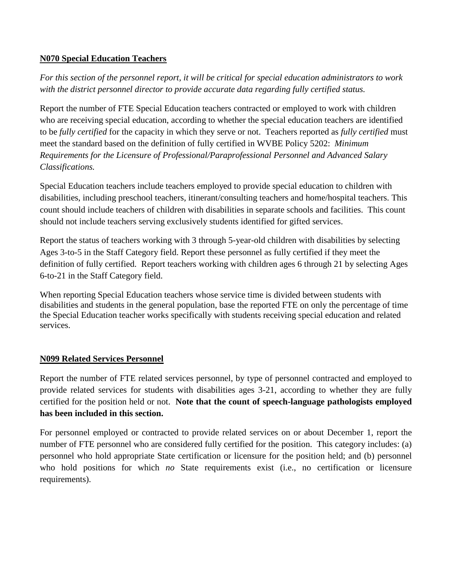# **N070 Special Education Teachers**

*For this section of the personnel report, it will be critical for special education administrators to work with the district personnel director to provide accurate data regarding fully certified status.*

Report the number of FTE Special Education teachers contracted or employed to work with children who are receiving special education, according to whether the special education teachers are identified to be *fully certified* for the capacity in which they serve or not. Teachers reported as *fully certified* must meet the standard based on the definition of fully certified in WVBE Policy 5202: *Minimum Requirements for the Licensure of Professional/Paraprofessional Personnel and Advanced Salary Classifications.*

Special Education teachers include teachers employed to provide special education to children with disabilities, including preschool teachers, itinerant/consulting teachers and home/hospital teachers. This count should include teachers of children with disabilities in separate schools and facilities. This count should not include teachers serving exclusively students identified for gifted services.

Report the status of teachers working with 3 through 5-year-old children with disabilities by selecting Ages 3-to-5 in the Staff Category field. Report these personnel as fully certified if they meet the definition of fully certified. Report teachers working with children ages 6 through 21 by selecting Ages 6-to-21 in the Staff Category field.

When reporting Special Education teachers whose service time is divided between students with disabilities and students in the general population, base the reported FTE on only the percentage of time the Special Education teacher works specifically with students receiving special education and related services.

## **N099 Related Services Personnel**

Report the number of FTE related services personnel, by type of personnel contracted and employed to provide related services for students with disabilities ages 3-21, according to whether they are fully certified for the position held or not. **Note that the count of speech-language pathologists employed has been included in this section.**

For personnel employed or contracted to provide related services on or about December 1, report the number of FTE personnel who are considered fully certified for the position. This category includes: (a) personnel who hold appropriate State certification or licensure for the position held; and (b) personnel who hold positions for which *no* State requirements exist (i.e., no certification or licensure requirements).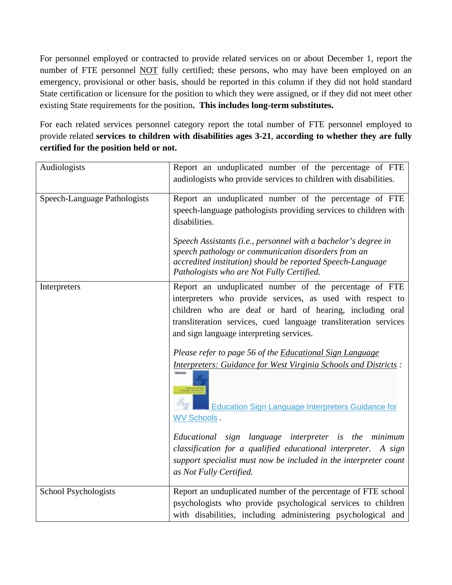For personnel employed or contracted to provide related services on or about December 1, report the number of FTE personnel NOT fully certified; these persons, who may have been employed on an emergency, provisional or other basis, should be reported in this column if they did not hold standard State certification or licensure for the position to which they were assigned, or if they did not meet other existing State requirements for the position**. This includes long-term substitutes.**

For each related services personnel category report the total number of FTE personnel employed to provide related **services to children with disabilities ages 3-21**, **according to whether they are fully certified for the position held or not.**

| Audiologists                 | Report an unduplicated number of the percentage of FTE<br>audiologists who provide services to children with disabilities.                                                                                                                                                                                                                                                                                                                                                                                                                                                                                                                                                                              |
|------------------------------|---------------------------------------------------------------------------------------------------------------------------------------------------------------------------------------------------------------------------------------------------------------------------------------------------------------------------------------------------------------------------------------------------------------------------------------------------------------------------------------------------------------------------------------------------------------------------------------------------------------------------------------------------------------------------------------------------------|
| Speech-Language Pathologists | Report an unduplicated number of the percentage of FTE<br>speech-language pathologists providing services to children with<br>disabilities.<br>Speech Assistants (i.e., personnel with a bachelor's degree in                                                                                                                                                                                                                                                                                                                                                                                                                                                                                           |
|                              | speech pathology or communication disorders from an<br>accredited institution) should be reported Speech-Language<br>Pathologists who are Not Fully Certified.                                                                                                                                                                                                                                                                                                                                                                                                                                                                                                                                          |
| Interpreters                 | Report an unduplicated number of the percentage of FTE<br>interpreters who provide services, as used with respect to<br>children who are deaf or hard of hearing, including oral<br>transliteration services, cued language transliteration services<br>and sign language interpreting services.<br>Please refer to page 56 of the Educational Sign Language<br>Interpreters: Guidance for West Virginia Schools and Districts:<br>Education Sign Language Interpreters Guidance for<br><b>WV Schools</b><br>Educational sign language interpreter is the minimum<br>classification for a qualified educational interpreter. A sign<br>support specialist must now be included in the interpreter count |
|                              | as Not Fully Certified.                                                                                                                                                                                                                                                                                                                                                                                                                                                                                                                                                                                                                                                                                 |
| School Psychologists         | Report an unduplicated number of the percentage of FTE school<br>psychologists who provide psychological services to children<br>with disabilities, including administering psychological and                                                                                                                                                                                                                                                                                                                                                                                                                                                                                                           |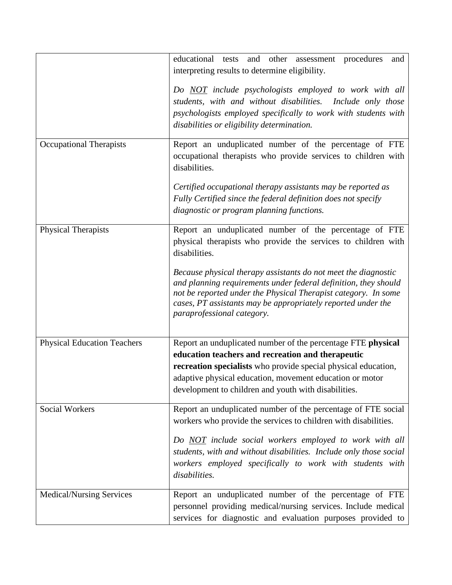|                                    | educational tests and other assessment procedures<br>and<br>interpreting results to determine eligibility.                                                                                                                                                                                        |
|------------------------------------|---------------------------------------------------------------------------------------------------------------------------------------------------------------------------------------------------------------------------------------------------------------------------------------------------|
|                                    | Do NOT include psychologists employed to work with all<br>students, with and without disabilities. Include only those<br>psychologists employed specifically to work with students with<br>disabilities or eligibility determination.                                                             |
| <b>Occupational Therapists</b>     | Report an unduplicated number of the percentage of FTE<br>occupational therapists who provide services to children with<br>disabilities.                                                                                                                                                          |
|                                    | Certified occupational therapy assistants may be reported as<br>Fully Certified since the federal definition does not specify<br>diagnostic or program planning functions.                                                                                                                        |
| <b>Physical Therapists</b>         | Report an unduplicated number of the percentage of FTE<br>physical therapists who provide the services to children with<br>disabilities.                                                                                                                                                          |
|                                    | Because physical therapy assistants do not meet the diagnostic<br>and planning requirements under federal definition, they should<br>not be reported under the Physical Therapist category. In some<br>cases, PT assistants may be appropriately reported under the<br>paraprofessional category. |
| <b>Physical Education Teachers</b> | Report an unduplicated number of the percentage FTE physical                                                                                                                                                                                                                                      |
|                                    | education teachers and recreation and therapeutic                                                                                                                                                                                                                                                 |
|                                    | recreation specialists who provide special physical education,                                                                                                                                                                                                                                    |
|                                    | adaptive physical education, movement education or motor<br>development to children and youth with disabilities.                                                                                                                                                                                  |
| <b>Social Workers</b>              | Report an unduplicated number of the percentage of FTE social<br>workers who provide the services to children with disabilities.                                                                                                                                                                  |
|                                    | Do NOT include social workers employed to work with all<br>students, with and without disabilities. Include only those social<br>workers employed specifically to work with students with<br>disabilities.                                                                                        |
| <b>Medical/Nursing Services</b>    | Report an unduplicated number of the percentage of FTE<br>personnel providing medical/nursing services. Include medical<br>services for diagnostic and evaluation purposes provided to                                                                                                            |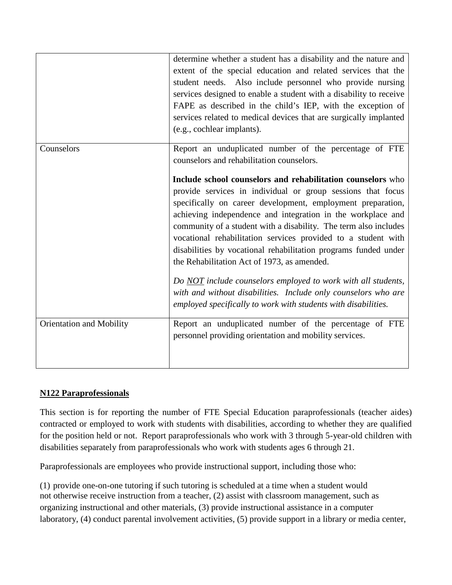|                          | determine whether a student has a disability and the nature and<br>extent of the special education and related services that the<br>student needs. Also include personnel who provide nursing<br>services designed to enable a student with a disability to receive<br>FAPE as described in the child's IEP, with the exception of<br>services related to medical devices that are surgically implanted<br>(e.g., cochlear implants). |
|--------------------------|---------------------------------------------------------------------------------------------------------------------------------------------------------------------------------------------------------------------------------------------------------------------------------------------------------------------------------------------------------------------------------------------------------------------------------------|
| Counselors               | Report an unduplicated number of the percentage of FTE<br>counselors and rehabilitation counselors.                                                                                                                                                                                                                                                                                                                                   |
|                          | Include school counselors and rehabilitation counselors who                                                                                                                                                                                                                                                                                                                                                                           |
|                          | provide services in individual or group sessions that focus                                                                                                                                                                                                                                                                                                                                                                           |
|                          | specifically on career development, employment preparation,<br>achieving independence and integration in the workplace and<br>community of a student with a disability. The term also includes<br>vocational rehabilitation services provided to a student with<br>disabilities by vocational rehabilitation programs funded under<br>the Rehabilitation Act of 1973, as amended.                                                     |
|                          | Do NOT include counselors employed to work with all students,<br>with and without disabilities. Include only counselors who are<br>employed specifically to work with students with disabilities.                                                                                                                                                                                                                                     |
| Orientation and Mobility | Report an unduplicated number of the percentage of FTE<br>personnel providing orientation and mobility services.                                                                                                                                                                                                                                                                                                                      |
|                          |                                                                                                                                                                                                                                                                                                                                                                                                                                       |

# **N122 Paraprofessionals**

This section is for reporting the number of FTE Special Education paraprofessionals (teacher aides) contracted or employed to work with students with disabilities, according to whether they are qualified for the position held or not. Report paraprofessionals who work with 3 through 5-year-old children with disabilities separately from paraprofessionals who work with students ages 6 through 21.

Paraprofessionals are employees who provide instructional support, including those who:

(1) provide one-on-one tutoring if such tutoring is scheduled at a time when a student would not otherwise receive instruction from a teacher, (2) assist with classroom management, such as organizing instructional and other materials, (3) provide instructional assistance in a computer laboratory, (4) conduct parental involvement activities, (5) provide support in a library or media center,